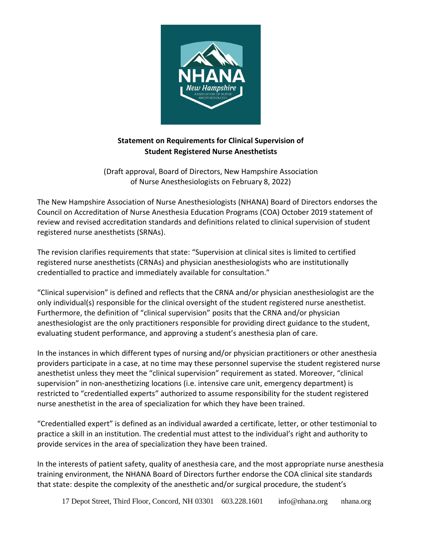

## **Statement on Requirements for Clinical Supervision of Student Registered Nurse Anesthetists**

(Draft approval, Board of Directors, New Hampshire Association of Nurse Anesthesiologists on February 8, 2022)

The New Hampshire Association of Nurse Anesthesiologists (NHANA) Board of Directors endorses the Council on Accreditation of Nurse Anesthesia Education Programs (COA) October 2019 statement of review and revised accreditation standards and definitions related to clinical supervision of student registered nurse anesthetists (SRNAs).

The revision clarifies requirements that state: "Supervision at clinical sites is limited to certified registered nurse anesthetists (CRNAs) and physician anesthesiologists who are institutionally credentialled to practice and immediately available for consultation."

"Clinical supervision" is defined and reflects that the CRNA and/or physician anesthesiologist are the only individual(s) responsible for the clinical oversight of the student registered nurse anesthetist. Furthermore, the definition of "clinical supervision" posits that the CRNA and/or physician anesthesiologist are the only practitioners responsible for providing direct guidance to the student, evaluating student performance, and approving a student's anesthesia plan of care.

In the instances in which different types of nursing and/or physician practitioners or other anesthesia providers participate in a case, at no time may these personnel supervise the student registered nurse anesthetist unless they meet the "clinical supervision" requirement as stated. Moreover, "clinical supervision" in non-anesthetizing locations (i.e. intensive care unit, emergency department) is restricted to "credentialled experts" authorized to assume responsibility for the student registered nurse anesthetist in the area of specialization for which they have been trained.

"Credentialled expert" is defined as an individual awarded a certificate, letter, or other testimonial to practice a skill in an institution. The credential must attest to the individual's right and authority to provide services in the area of specialization they have been trained.

In the interests of patient safety, quality of anesthesia care, and the most appropriate nurse anesthesia training environment, the NHANA Board of Directors further endorse the COA clinical site standards that state: despite the complexity of the anesthetic and/or surgical procedure, the student's